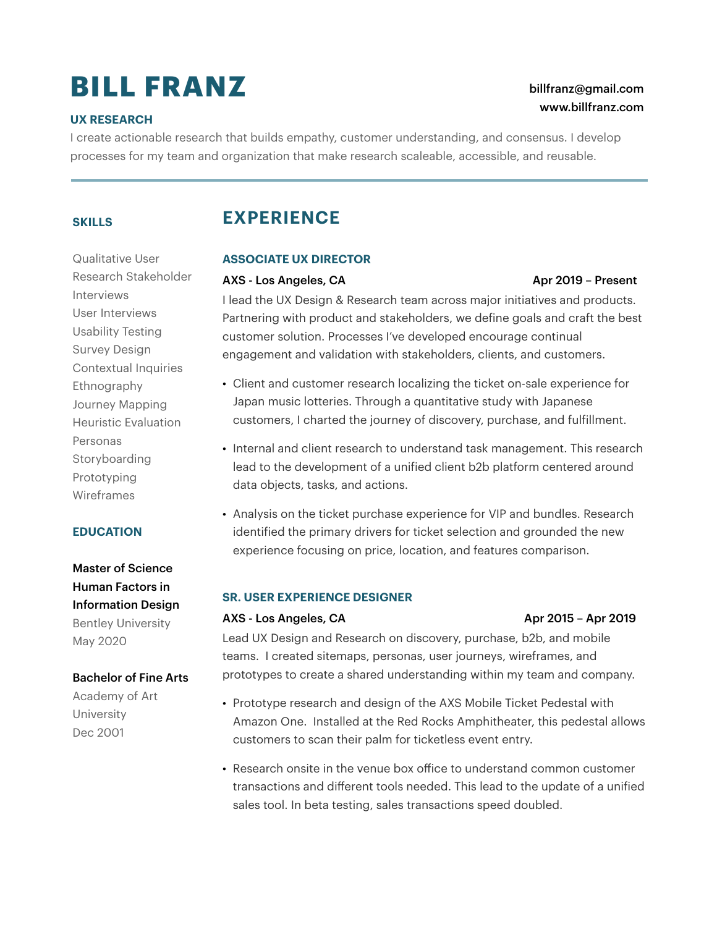# **BILL FRANZ**

### **UX RESEARCH**

## [billfranz@gmail.com](mailto:billfranz@gmail.com) [www.billfranz.com](http://www.billfranz.com)

I create actionable research that builds empathy, customer understanding, and consensus. I develop processes for my team and organization that make research scaleable, accessible, and reusable.

### **SKILLS**

Qualitative User Research Stakeholder Interviews User Interviews Usability Testing Survey Design Contextual Inquiries Ethnography Journey Mapping Heuristic Evaluation Personas Storyboarding Prototyping Wireframes

### **EDUCATION**

Master of Science Human Factors in Information Design Bentley University May 2020

### Bachelor of Fine Arts

Academy of Art University Dec 2001

# **EXPERIENCE**

### **ASSOCIATE UX DIRECTOR**

### AXS - Los Angeles, CA Angeles, CA Apr 2019 – Present

I lead the UX Design & Research team across major initiatives and products. Partnering with product and stakeholders, we define goals and craft the best customer solution. Processes I've developed encourage continual engagement and validation with stakeholders, clients, and customers.

- Client and customer research localizing the ticket on-sale experience for Japan music lotteries. Through a quantitative study with Japanese customers, I charted the journey of discovery, purchase, and fulfillment.
- Internal and client research to understand task management. This research lead to the development of a unified client b2b platform centered around data objects, tasks, and actions.
- Analysis on the ticket purchase experience for VIP and bundles. Research identified the primary drivers for ticket selection and grounded the new experience focusing on price, location, and features comparison.

### **SR. USER EXPERIENCE DESIGNER**

### AXS - Los Angeles, CA Apr 2015 – Apr 2019

Lead UX Design and Research on discovery, purchase, b2b, and mobile teams. I created sitemaps, personas, user journeys, wireframes, and prototypes to create a shared understanding within my team and company.

- Prototype research and design of the AXS Mobile Ticket Pedestal with Amazon One. Installed at the Red Rocks Amphitheater, this pedestal allows customers to scan their palm for ticketless event entry.
- Research onsite in the venue box office to understand common customer transactions and different tools needed. This lead to the update of a unified sales tool. In beta testing, sales transactions speed doubled.